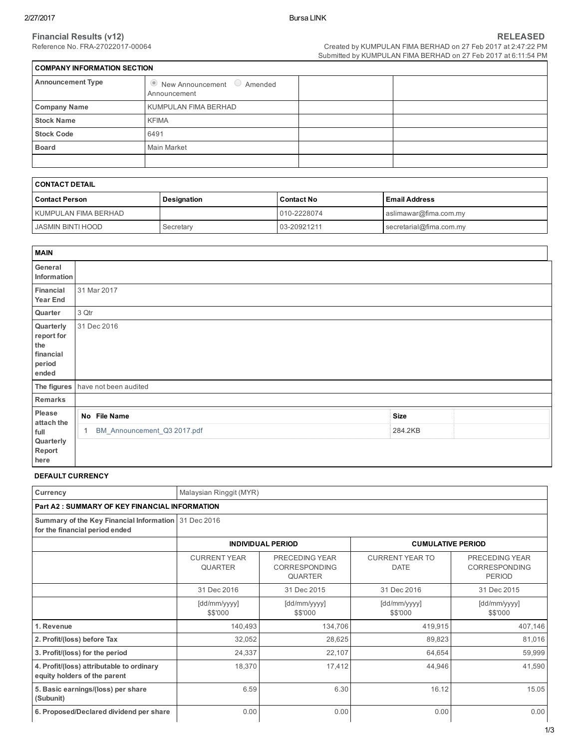÷

| <b>COMPANY INFORMATION SECTION</b> |                                                              |  |  |  |  |  |  |
|------------------------------------|--------------------------------------------------------------|--|--|--|--|--|--|
| <b>Announcement Type</b>           | $\bullet$ New Announcement $\bullet$ Amended<br>Announcement |  |  |  |  |  |  |
| <b>Company Name</b>                | KUMPULAN FIMA BERHAD                                         |  |  |  |  |  |  |
| <b>Stock Name</b>                  | <b>KFIMA</b>                                                 |  |  |  |  |  |  |
| <b>Stock Code</b>                  | 6491                                                         |  |  |  |  |  |  |
| <b>Board</b>                       | Main Market                                                  |  |  |  |  |  |  |
|                                    |                                                              |  |  |  |  |  |  |

| I CONTACT DETAIL     |             |                   |                         |  |  |  |
|----------------------|-------------|-------------------|-------------------------|--|--|--|
| l Contact Person     | Designation | <b>Contact No</b> | l Email Address         |  |  |  |
| KUMPULAN FIMA BERHAD |             | 010-2228074       | aslimawar@fima.com.my   |  |  |  |
| JASMIN BINTI HOOD    | Secretary   | 03-20921211       | secretarial@fima.com.my |  |  |  |

| <b>MAIN</b>                                                    |                                   |             |  |
|----------------------------------------------------------------|-----------------------------------|-------------|--|
| General<br>Information                                         |                                   |             |  |
| Financial<br>Year End                                          | 31 Mar 2017                       |             |  |
| Quarter                                                        | 3 Qtr                             |             |  |
| Quarterly<br>report for<br>the<br>financial<br>period<br>ended | 31 Dec 2016                       |             |  |
|                                                                | The figures have not been audited |             |  |
| Remarks                                                        |                                   |             |  |
| Please<br>attach the                                           | No File Name                      | <b>Size</b> |  |
| full<br>Quarterly<br>Report<br>here                            | BM_Announcement_Q3 2017.pdf<br>1. | 284.2KB     |  |

# DEFAULT CURRENCY

| Currency                                                                               | Malaysian Ringgit (MYR)               |                                                          |                                       |                                                         |  |  |  |  |
|----------------------------------------------------------------------------------------|---------------------------------------|----------------------------------------------------------|---------------------------------------|---------------------------------------------------------|--|--|--|--|
| <b>Part A2 : SUMMARY OF KEY FINANCIAL INFORMATION</b>                                  |                                       |                                                          |                                       |                                                         |  |  |  |  |
| Summary of the Key Financial Information 31 Dec 2016<br>for the financial period ended |                                       |                                                          |                                       |                                                         |  |  |  |  |
|                                                                                        |                                       | <b>INDIVIDUAL PERIOD</b>                                 | <b>CUMULATIVE PERIOD</b>              |                                                         |  |  |  |  |
|                                                                                        | <b>CURRENT YEAR</b><br><b>QUARTER</b> | PRECEDING YEAR<br><b>CORRESPONDING</b><br><b>QUARTER</b> | <b>CURRENT YEAR TO</b><br><b>DATE</b> | PRECEDING YEAR<br><b>CORRESPONDING</b><br><b>PERIOD</b> |  |  |  |  |
|                                                                                        | 31 Dec 2016                           | 31 Dec 2015                                              | 31 Dec 2016                           | 31 Dec 2015                                             |  |  |  |  |
|                                                                                        | [dd/mm/yyyy]<br>\$\$'000              | [dd/mm/yyyy]<br>\$\$'000                                 | [dd/mm/yyyy]<br>\$\$'000              | [dd/mm/yyyy]<br>\$\$'000                                |  |  |  |  |
| 1. Revenue                                                                             | 140,493                               | 134,706                                                  | 419,915                               | 407,146                                                 |  |  |  |  |
| 2. Profit/(loss) before Tax                                                            | 32,052                                | 28,625                                                   | 89,823                                | 81,016                                                  |  |  |  |  |
| 3. Profit/(loss) for the period                                                        | 24,337                                | 22,107                                                   | 64,654                                | 59,999                                                  |  |  |  |  |
| 4. Profit/(loss) attributable to ordinary<br>equity holders of the parent              | 18,370                                | 17,412                                                   | 44,946                                | 41,590                                                  |  |  |  |  |
| 5. Basic earnings/(loss) per share<br>(Subunit)                                        | 6.59                                  | 6.30                                                     | 16.12                                 | 15.05                                                   |  |  |  |  |
| 6. Proposed/Declared dividend per share                                                | 0.00                                  | 0.00                                                     | 0.00                                  | 0.00                                                    |  |  |  |  |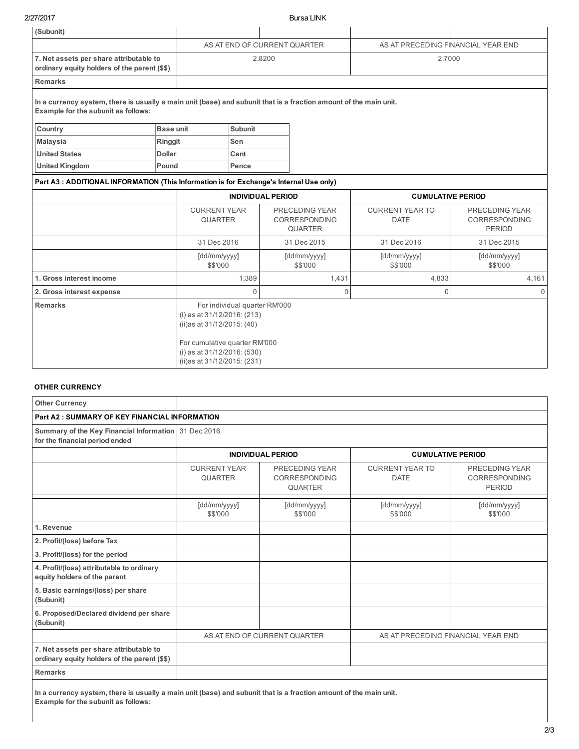2/27/2017 Bursa LINK

| (Subunit)                                                                                                                                                |               |                                                                                             |                               |        |                                                          |                                       |                                                         |  |  |
|----------------------------------------------------------------------------------------------------------------------------------------------------------|---------------|---------------------------------------------------------------------------------------------|-------------------------------|--------|----------------------------------------------------------|---------------------------------------|---------------------------------------------------------|--|--|
|                                                                                                                                                          |               | AS AT END OF CURRENT QUARTER                                                                |                               |        |                                                          | AS AT PRECEDING FINANCIAL YEAR END    |                                                         |  |  |
| 7. Net assets per share attributable to<br>ordinary equity holders of the parent (\$\$)                                                                  |               |                                                                                             |                               | 2.8200 |                                                          |                                       | 2.7000                                                  |  |  |
| <b>Remarks</b>                                                                                                                                           |               |                                                                                             |                               |        |                                                          |                                       |                                                         |  |  |
| In a currency system, there is usually a main unit (base) and subunit that is a fraction amount of the main unit.<br>Example for the subunit as follows: |               |                                                                                             |                               |        |                                                          |                                       |                                                         |  |  |
| Country                                                                                                                                                  | Base unit     |                                                                                             | <b>Subunit</b>                |        |                                                          |                                       |                                                         |  |  |
| <b>Malaysia</b>                                                                                                                                          | Ringgit       |                                                                                             | Sen                           |        |                                                          |                                       |                                                         |  |  |
| <b>United States</b>                                                                                                                                     | <b>Dollar</b> |                                                                                             | Cent                          |        |                                                          |                                       |                                                         |  |  |
| <b>United Kingdom</b>                                                                                                                                    | Pound         |                                                                                             | Pence                         |        |                                                          |                                       |                                                         |  |  |
| Part A3: ADDITIONAL INFORMATION (This Information is for Exchange's Internal Use only)                                                                   |               |                                                                                             |                               |        |                                                          |                                       |                                                         |  |  |
|                                                                                                                                                          |               |                                                                                             | <b>INDIVIDUAL PERIOD</b>      |        |                                                          | <b>CUMULATIVE PERIOD</b>              |                                                         |  |  |
|                                                                                                                                                          |               | <b>CURRENT YEAR</b><br><b>QUARTER</b>                                                       |                               |        | PRECEDING YEAR<br><b>CORRESPONDING</b><br><b>QUARTER</b> | <b>CURRENT YEAR TO</b><br><b>DATE</b> | PRECEDING YEAR<br><b>CORRESPONDING</b><br><b>PERIOD</b> |  |  |
|                                                                                                                                                          |               |                                                                                             | 31 Dec 2016<br>31 Dec 2015    |        | 31 Dec 2016                                              | 31 Dec 2015                           |                                                         |  |  |
|                                                                                                                                                          |               | [dd/mm/yyyy]<br>\$\$'000                                                                    |                               |        | [dd/mm/yyyy]<br>[dd/mm/yyyy]<br>\$\$'000<br>\$\$'000     |                                       | [dd/mm/yyyy]<br>\$\$'000                                |  |  |
| 1. Gross interest income                                                                                                                                 |               |                                                                                             | 1,389                         |        | 1,431                                                    | 4,833                                 | 4,161                                                   |  |  |
| 2. Gross interest expense                                                                                                                                |               |                                                                                             | $\Omega$<br>$\mathbf{0}$      |        |                                                          | $\Omega$                              | $\Omega$                                                |  |  |
| <b>Remarks</b>                                                                                                                                           |               | (i) as at 31/12/2016: (213)<br>(ii)as at 31/12/2015: (40)                                   | For individual quarter RM'000 |        |                                                          |                                       |                                                         |  |  |
|                                                                                                                                                          |               | For cumulative quarter RM'000<br>(i) as at 31/12/2016: (530)<br>(ii)as at 31/12/2015: (231) |                               |        |                                                          |                                       |                                                         |  |  |

# OTHER CURRENCY

| <b>Other Currency</b>                                                                   |                                       |                                                          |                                       |                                                         |  |  |  |  |
|-----------------------------------------------------------------------------------------|---------------------------------------|----------------------------------------------------------|---------------------------------------|---------------------------------------------------------|--|--|--|--|
| <b>Part A2: SUMMARY OF KEY FINANCIAL INFORMATION</b>                                    |                                       |                                                          |                                       |                                                         |  |  |  |  |
| Summary of the Key Financial Information 31 Dec 2016<br>for the financial period ended  |                                       |                                                          |                                       |                                                         |  |  |  |  |
|                                                                                         |                                       | <b>INDIVIDUAL PERIOD</b>                                 | <b>CUMULATIVE PERIOD</b>              |                                                         |  |  |  |  |
|                                                                                         | <b>CURRENT YEAR</b><br><b>QUARTER</b> | PRECEDING YEAR<br><b>CORRESPONDING</b><br><b>QUARTER</b> | <b>CURRENT YEAR TO</b><br><b>DATE</b> | PRECEDING YEAR<br><b>CORRESPONDING</b><br><b>PERIOD</b> |  |  |  |  |
|                                                                                         | [dd/mm/yyyy]<br>\$\$'000              | [dd/mm/yyyy]<br>\$\$'000                                 | [dd/mm/yyyy]<br>\$\$'000              | [dd/mm/yyyy]<br>\$\$'000                                |  |  |  |  |
| 1. Revenue                                                                              |                                       |                                                          |                                       |                                                         |  |  |  |  |
| 2. Profit/(loss) before Tax                                                             |                                       |                                                          |                                       |                                                         |  |  |  |  |
| 3. Profit/(loss) for the period                                                         |                                       |                                                          |                                       |                                                         |  |  |  |  |
| 4. Profit/(loss) attributable to ordinary<br>equity holders of the parent               |                                       |                                                          |                                       |                                                         |  |  |  |  |
| 5. Basic earnings/(loss) per share<br>(Subunit)                                         |                                       |                                                          |                                       |                                                         |  |  |  |  |
| 6. Proposed/Declared dividend per share<br>(Subunit)                                    |                                       |                                                          |                                       |                                                         |  |  |  |  |
|                                                                                         | AS AT END OF CURRENT QUARTER          |                                                          | AS AT PRECEDING FINANCIAL YEAR END    |                                                         |  |  |  |  |
| 7. Net assets per share attributable to<br>ordinary equity holders of the parent (\$\$) |                                       |                                                          |                                       |                                                         |  |  |  |  |
| <b>Remarks</b>                                                                          |                                       |                                                          |                                       |                                                         |  |  |  |  |

In a currency system, there is usually a main unit (base) and subunit that is a fraction amount of the main unit. Example for the subunit as follows: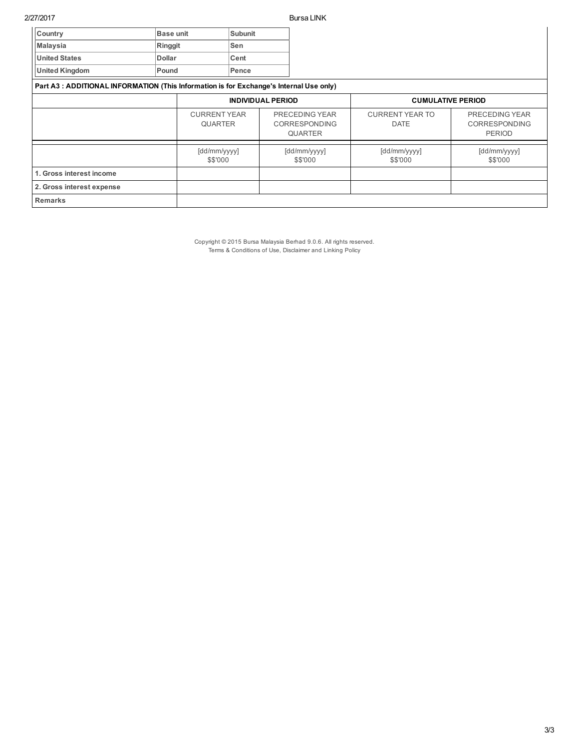| Country                                                                                | <b>Base unit</b> | <b>Subunit</b>                        |       |                          |                                                          |                                       |                                                         |
|----------------------------------------------------------------------------------------|------------------|---------------------------------------|-------|--------------------------|----------------------------------------------------------|---------------------------------------|---------------------------------------------------------|
| <b>Malaysia</b>                                                                        | Ringgit          |                                       | Sen   |                          |                                                          |                                       |                                                         |
| <b>United States</b>                                                                   | <b>Dollar</b>    |                                       | Cent  |                          |                                                          |                                       |                                                         |
| <b>United Kingdom</b>                                                                  | Pound            |                                       | Pence |                          |                                                          |                                       |                                                         |
| Part A3: ADDITIONAL INFORMATION (This Information is for Exchange's Internal Use only) |                  |                                       |       |                          |                                                          |                                       |                                                         |
|                                                                                        |                  | <b>INDIVIDUAL PERIOD</b>              |       | <b>CUMULATIVE PERIOD</b> |                                                          |                                       |                                                         |
|                                                                                        |                  | <b>CURRENT YEAR</b><br><b>QUARTER</b> |       |                          | PRECEDING YEAR<br><b>CORRESPONDING</b><br><b>QUARTER</b> | <b>CURRENT YEAR TO</b><br><b>DATE</b> | PRECEDING YEAR<br><b>CORRESPONDING</b><br><b>PERIOD</b> |
|                                                                                        |                  | [dd/mm/yyyy]<br>\$\$'000              |       | [dd/mm/yyyy]<br>\$\$'000 |                                                          | [dd/mm/yyyy]<br>\$\$'000              | [dd/mm/yyyy]<br>\$\$'000                                |
| 1. Gross interest income                                                               |                  |                                       |       |                          |                                                          |                                       |                                                         |
| 2. Gross interest expense                                                              |                  |                                       |       |                          |                                                          |                                       |                                                         |
| <b>Remarks</b>                                                                         |                  |                                       |       |                          |                                                          |                                       |                                                         |

Copyright © 2015 Bursa Malaysia Berhad 9.0.6. All rights reserved. Terms & Conditions of Use, Disclaimer and Linking Policy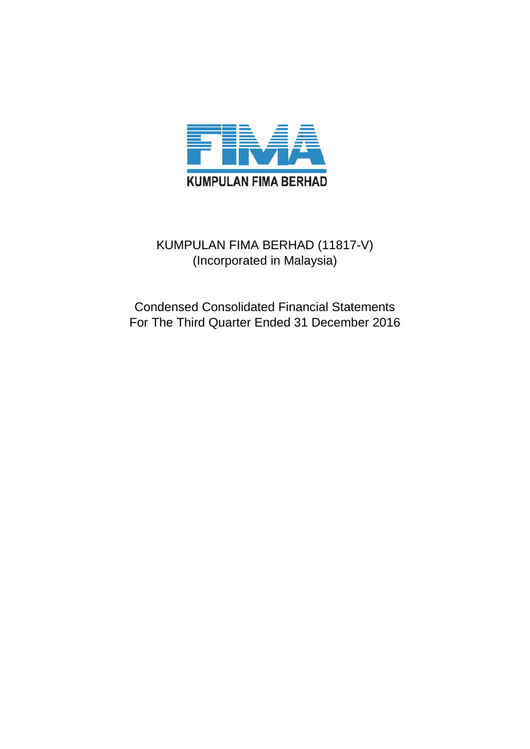

# KUMPULAN FIMA BERHAD (11817-V) (Incorporated in Malaysia)

Condensed Consolidated Financial Statements For The Third Quarter Ended 31 December 2016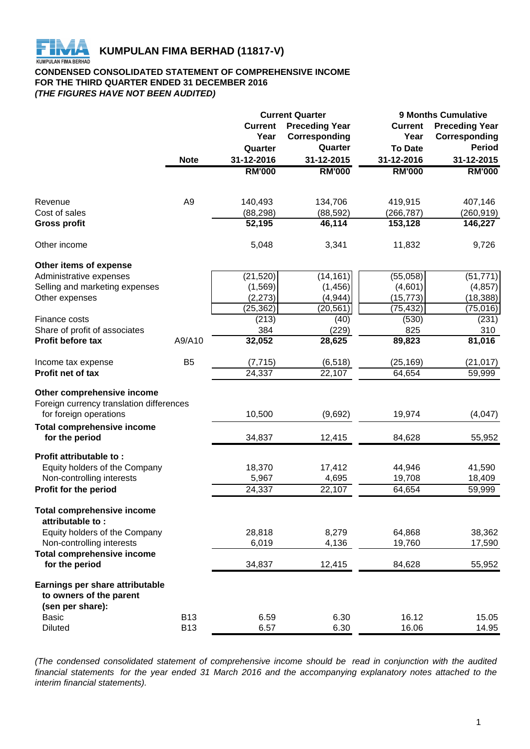

# **CONDENSED CONSOLIDATED STATEMENT OF COMPREHENSIVE INCOME FOR THE THIRD QUARTER ENDED 31 DECEMBER 2016** *(THE FIGURES HAVE NOT BEEN AUDITED)*

|                                                       |                |                | <b>Current Quarter</b> | <b>9 Months Cumulative</b> |                       |  |  |
|-------------------------------------------------------|----------------|----------------|------------------------|----------------------------|-----------------------|--|--|
|                                                       |                | <b>Current</b> | <b>Preceding Year</b>  | <b>Current</b>             | <b>Preceding Year</b> |  |  |
|                                                       |                | Year           | Corresponding          | Year                       | Corresponding         |  |  |
|                                                       |                | Quarter        | Quarter                | <b>To Date</b>             | <b>Period</b>         |  |  |
|                                                       | <b>Note</b>    | 31-12-2016     | 31-12-2015             | 31-12-2016                 | 31-12-2015            |  |  |
|                                                       |                | <b>RM'000</b>  | <b>RM'000</b>          | <b>RM'000</b>              | <b>RM'000</b>         |  |  |
|                                                       |                |                |                        |                            |                       |  |  |
| Revenue                                               | A <sub>9</sub> | 140,493        | 134,706                | 419,915                    | 407,146               |  |  |
| Cost of sales                                         |                | (88, 298)      | (88, 592)              | (266, 787)                 | (260, 919)            |  |  |
| <b>Gross profit</b>                                   |                | 52,195         | 46,114                 | 153,128                    | 146,227               |  |  |
| Other income                                          |                | 5,048          | 3,341                  | 11,832                     | 9,726                 |  |  |
| Other items of expense                                |                |                |                        |                            |                       |  |  |
| Administrative expenses                               |                | (21, 520)      | (14, 161)              | (55,058)                   | (51, 771)             |  |  |
| Selling and marketing expenses                        |                | (1, 569)       | (1, 456)               | (4,601)                    | (4, 857)              |  |  |
| Other expenses                                        |                | (2, 273)       | (4, 944)               | (15, 773)                  | (18, 388)             |  |  |
|                                                       |                | (25, 362)      | $(20, 56\overline{1})$ | (75, 432)                  | (75, 016)             |  |  |
| Finance costs                                         |                | (213)          | (40)                   | (530)                      | (231)                 |  |  |
| Share of profit of associates                         |                | 384            | (229)                  | 825                        | 310                   |  |  |
| Profit before tax                                     | A9/A10         | 32,052         | 28,625                 | 89,823                     | 81,016                |  |  |
| Income tax expense                                    | B <sub>5</sub> | (7, 715)       | (6, 518)               | (25, 169)                  | (21,017)              |  |  |
| Profit net of tax                                     |                | 24,337         | 22,107                 | 64,654                     | 59,999                |  |  |
| Other comprehensive income                            |                |                |                        |                            |                       |  |  |
| Foreign currency translation differences              |                |                |                        |                            |                       |  |  |
| for foreign operations                                |                | 10,500         | (9,692)                | 19,974                     | (4,047)               |  |  |
| <b>Total comprehensive income</b>                     |                |                |                        |                            |                       |  |  |
| for the period                                        |                | 34,837         | 12,415                 | 84,628                     | 55,952                |  |  |
| Profit attributable to:                               |                |                |                        |                            |                       |  |  |
| Equity holders of the Company                         |                | 18,370         | 17,412                 | 44,946                     | 41,590                |  |  |
| Non-controlling interests                             |                | 5,967          | 4,695                  | 19,708                     | 18,409                |  |  |
| Profit for the period                                 |                | 24,337         | 22,107                 | 64,654                     | 59,999                |  |  |
| <b>Total comprehensive income</b><br>attributable to: |                |                |                        |                            |                       |  |  |
| Equity holders of the Company                         |                | 28,818         | 8,279                  | 64,868                     | 38,362                |  |  |
| Non-controlling interests                             |                | 6,019          | 4,136                  | 19,760                     | 17,590                |  |  |
| <b>Total comprehensive income</b>                     |                |                |                        |                            |                       |  |  |
| for the period                                        |                | 34,837         | 12,415                 | 84,628                     | 55,952                |  |  |
| Earnings per share attributable                       |                |                |                        |                            |                       |  |  |
| to owners of the parent                               |                |                |                        |                            |                       |  |  |
| (sen per share):                                      |                |                |                        |                            |                       |  |  |
| <b>Basic</b>                                          | <b>B13</b>     | 6.59           | 6.30                   | 16.12                      | 15.05                 |  |  |
| <b>Diluted</b>                                        | <b>B13</b>     | 6.57           | 6.30                   | 16.06                      | 14.95                 |  |  |

*(The condensed consolidated statement of comprehensive income should be read in conjunction with the audited* financial statements for the year ended 31 March 2016 and the accompanying explanatory notes attached to the *interim financial statements).*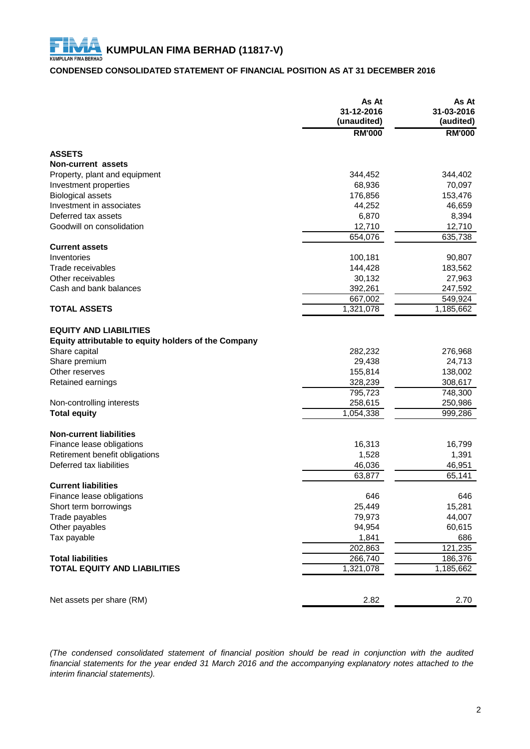# **CONDENSED CONSOLIDATED STATEMENT OF FINANCIAL POSITION AS AT 31 DECEMBER 2016**

|                                                      | As At<br>31-12-2016<br>(unaudited) | As At<br>31-03-2016<br>(audited) |
|------------------------------------------------------|------------------------------------|----------------------------------|
|                                                      | <b>RM'000</b>                      | <b>RM'000</b>                    |
| <b>ASSETS</b>                                        |                                    |                                  |
| Non-current assets                                   |                                    |                                  |
| Property, plant and equipment                        | 344,452                            | 344,402                          |
| Investment properties                                | 68,936                             | 70,097                           |
| <b>Biological assets</b>                             | 176,856                            | 153,476                          |
| Investment in associates                             | 44,252                             | 46,659                           |
| Deferred tax assets                                  | 6,870                              | 8,394                            |
| Goodwill on consolidation                            | 12,710                             | 12,710                           |
|                                                      | 654,076                            | 635,738                          |
| <b>Current assets</b>                                |                                    |                                  |
| Inventories                                          | 100,181                            | 90,807                           |
| Trade receivables                                    | 144,428                            | 183,562                          |
| Other receivables                                    | 30,132                             | 27,963                           |
| Cash and bank balances                               | 392,261                            | 247,592                          |
|                                                      | 667,002                            | 549,924                          |
| <b>TOTAL ASSETS</b>                                  | 1,321,078                          | 1,185,662                        |
|                                                      |                                    |                                  |
| <b>EQUITY AND LIABILITIES</b>                        |                                    |                                  |
| Equity attributable to equity holders of the Company |                                    |                                  |
| Share capital                                        | 282,232                            | 276,968                          |
| Share premium                                        | 29,438                             | 24,713                           |
| Other reserves                                       | 155,814                            | 138,002                          |
| Retained earnings                                    | 328,239                            | 308,617                          |
|                                                      | 795,723                            | 748,300                          |
| Non-controlling interests                            | 258,615                            | 250,986                          |
| <b>Total equity</b>                                  | 1,054,338                          | 999,286                          |
| <b>Non-current liabilities</b>                       |                                    |                                  |
| Finance lease obligations                            | 16,313                             | 16,799                           |
| Retirement benefit obligations                       | 1,528                              | 1,391                            |
| Deferred tax liabilities                             | 46,036                             | 46,951                           |
|                                                      | 63,877                             | 65,141                           |
| <b>Current liabilities</b>                           |                                    |                                  |
| Finance lease obligations                            | 646                                | 646                              |
| Short term borrowings                                | 25,449                             | 15,281                           |
| Trade payables                                       | 79,973                             | 44,007                           |
| Other payables                                       | 94,954                             | 60,615                           |
| Tax payable                                          | 1,841                              | 686                              |
|                                                      | 202,863                            | 121,235                          |
| <b>Total liabilities</b>                             | 266,740                            | 186,376                          |
| <b>TOTAL EQUITY AND LIABILITIES</b>                  | 1,321,078                          | 1,185,662                        |
|                                                      |                                    |                                  |
| Net assets per share (RM)                            | 2.82                               | 2.70                             |
|                                                      |                                    |                                  |

*(The condensed consolidated statement of financial position should be read in conjunction with the audited* financial statements for the year ended 31 March 2016 and the accompanying explanatory notes attached to the *interim financial statements).*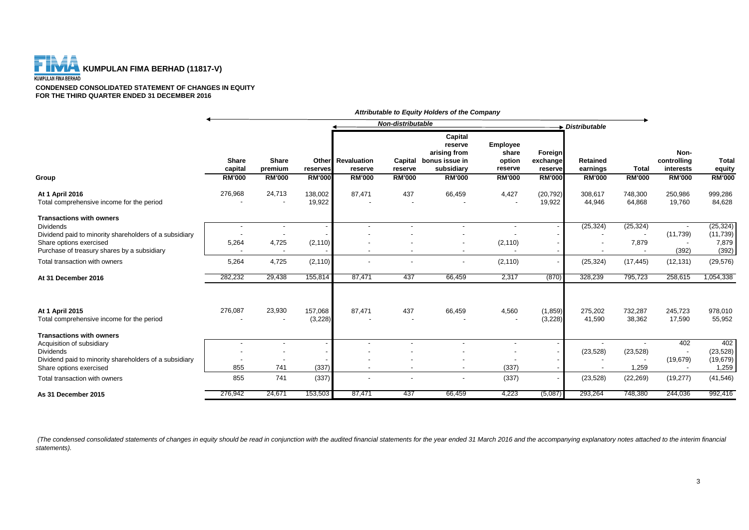

**CONDENSED CONSOLIDATED STATEMENT OF CHANGES IN EQUITY FOR THE THIRD QUARTER ENDED 31 DECEMBER 2016**

|                                                                                   | Non-distributable                 |                                   |                   |                                     |               | Distributable                                                              |                                        |                                |                                                      |                   |                                  |                        |
|-----------------------------------------------------------------------------------|-----------------------------------|-----------------------------------|-------------------|-------------------------------------|---------------|----------------------------------------------------------------------------|----------------------------------------|--------------------------------|------------------------------------------------------|-------------------|----------------------------------|------------------------|
|                                                                                   | <b>Share</b><br>capital           | <b>Share</b><br>premium           | reserves          | <b>Other</b> Revaluation<br>reserve | reserve       | Capital<br>reserve<br>arising from<br>Capital bonus issue in<br>subsidiary | Employee<br>share<br>option<br>reserve | Foreign<br>exchange<br>reserve | <b>Retained</b><br>earnings                          | <b>Total</b>      | Non-<br>controlling<br>interests | <b>Total</b><br>equity |
| Group                                                                             | <b>RM'000</b>                     | <b>RM'000</b>                     | <b>RM'000</b>     | <b>RM'000</b>                       | <b>RM'000</b> | <b>RM'000</b>                                                              | <b>RM'000</b>                          | <b>RM'000</b>                  | <b>RM'000</b>                                        | <b>RM'000</b>     | <b>RM'000</b>                    | <b>RM'000</b>          |
| At 1 April 2016<br>Total comprehensive income for the period                      | 276,968                           | 24,713                            | 138,002<br>19,922 | 87,471                              | 437           | 66,459                                                                     | 4,427                                  | (20, 792)<br>19,922            | 308,617<br>44,946                                    | 748,300<br>64,868 | 250,986<br>19,760                | 999,286<br>84,628      |
| <b>Transactions with owners</b>                                                   |                                   |                                   |                   |                                     |               |                                                                            |                                        |                                |                                                      |                   |                                  |                        |
| Dividends<br>Dividend paid to minority shareholders of a subsidiary               |                                   | $\blacksquare$                    |                   |                                     |               |                                                                            |                                        |                                | (25, 324)                                            | (25, 324)         | (11,739)                         | (25, 324)<br>(11, 739) |
| Share options exercised<br>Purchase of treasury shares by a subsidiary            | 5,264<br>$\overline{\phantom{a}}$ | 4,725<br>$\overline{\phantom{a}}$ | (2, 110)          |                                     |               | $\overline{\phantom{a}}$                                                   | (2, 110)                               |                                | $\overline{\phantom{a}}$<br>$\overline{\phantom{a}}$ | 7,879             | (392)                            | 7,879<br>(392)         |
| Total transaction with owners                                                     | 5,264                             | 4,725                             | (2, 110)          |                                     |               | $\overline{\phantom{a}}$                                                   | (2, 110)                               |                                | (25, 324)                                            | (17, 445)         | (12, 131)                        | (29, 576)              |
| At 31 December 2016                                                               | 282,232                           | 29.438                            | 155,814           | 87.471                              | 437           | 66.459                                                                     | 2,317                                  | (870)                          | 328.239                                              | 795,723           | 258,615                          | 1,054,338              |
| At 1 April 2015                                                                   | 276,087                           | 23,930                            | 157,068           | 87,471                              | 437           | 66,459                                                                     | 4,560                                  | (1,859)                        | 275,202                                              | 732,287           | 245,723                          | 978,010                |
| Total comprehensive income for the period                                         |                                   |                                   | (3,228)           |                                     |               |                                                                            |                                        | (3,228)                        | 41,590                                               | 38,362            | 17,590                           | 55,952                 |
| <b>Transactions with owners</b>                                                   |                                   |                                   |                   |                                     |               |                                                                            |                                        |                                |                                                      |                   |                                  |                        |
| Acquisition of subsidiary                                                         |                                   | $\overline{\phantom{a}}$          |                   |                                     |               |                                                                            | $\blacksquare$                         |                                | $\overline{\phantom{a}}$                             |                   | 402                              | 402                    |
| <b>Dividends</b>                                                                  |                                   |                                   |                   |                                     |               |                                                                            |                                        |                                | (23, 528)                                            | (23, 528)         |                                  | (23, 528)              |
| Dividend paid to minority shareholders of a subsidiary<br>Share options exercised | 855                               | 741                               | (337)             |                                     |               |                                                                            | (337)                                  |                                |                                                      | 1,259             | (19, 679)                        | (19, 679)<br>1,259     |
| Total transaction with owners                                                     | 855                               | 741                               | (337)             |                                     |               | $\overline{\phantom{a}}$                                                   | (337)                                  |                                | (23, 528)                                            | (22, 269)         | (19, 277)                        | (41, 546)              |
| As 31 December 2015                                                               | 276,942                           | 24,671                            | 153,503           | 87,471                              | 437           | 66,459                                                                     | 4,223                                  | (5,087)                        | 293,264                                              | 748,380           | 244,036                          | 992,416                |

*Attributable to Equity Holders of the Company*

(The condensed consolidated statements of changes in equity should be read in conjunction with the audited financial statements for the year ended 31 March 2016 and the accompanying explanatory notes attached to the interi *statements).*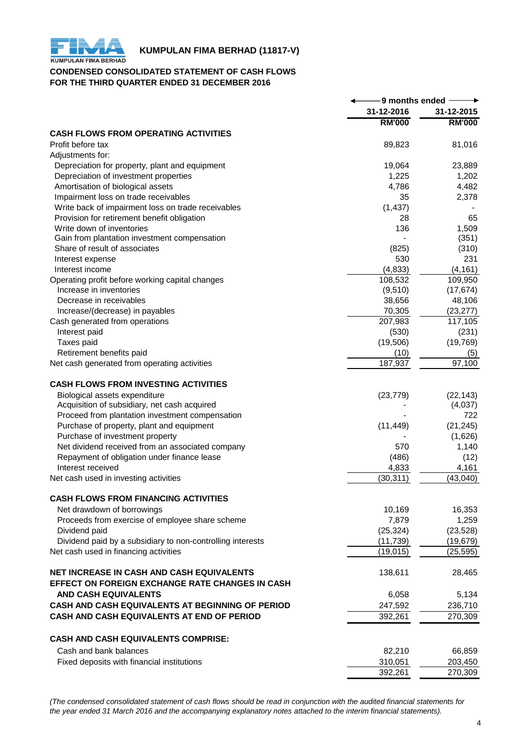

# **KUMPULAN FIMA BERHAD (11817-V)**<br>KUMPULAN FIMA BERHAD

# **CONDENSED CONSOLIDATED STATEMENT OF CASH FLOWS FOR THE THIRD QUARTER ENDED 31 DECEMBER 2016**

|                                                            | 9 months ended |               |  |
|------------------------------------------------------------|----------------|---------------|--|
|                                                            | 31-12-2016     | 31-12-2015    |  |
|                                                            | <b>RM'000</b>  | <b>RM'000</b> |  |
| <b>CASH FLOWS FROM OPERATING ACTIVITIES</b>                |                |               |  |
| Profit before tax                                          | 89,823         | 81,016        |  |
| Adjustments for:                                           |                |               |  |
| Depreciation for property, plant and equipment             | 19,064         | 23,889        |  |
| Depreciation of investment properties                      | 1,225          | 1,202         |  |
| Amortisation of biological assets                          | 4,786          | 4,482         |  |
| Impairment loss on trade receivables                       | 35             | 2,378         |  |
| Write back of impairment loss on trade receivables         | (1, 437)       |               |  |
| Provision for retirement benefit obligation                | 28             | 65            |  |
| Write down of inventories                                  | 136            | 1,509         |  |
| Gain from plantation investment compensation               |                | (351)         |  |
| Share of result of associates                              | (825)          | (310)         |  |
| Interest expense                                           | 530            | 231           |  |
| Interest income                                            | (4, 833)       | (4, 161)      |  |
| Operating profit before working capital changes            | 108,532        | 109,950       |  |
| Increase in inventories                                    | (9,510)        | (17, 674)     |  |
| Decrease in receivables                                    | 38,656         | 48,106        |  |
| Increase/(decrease) in payables                            | 70,305         | (23, 277)     |  |
| Cash generated from operations                             | 207,983        | 117,105       |  |
| Interest paid                                              | (530)          | (231)         |  |
| Taxes paid                                                 | (19,506)       | (19, 769)     |  |
| Retirement benefits paid                                   | (10)           | (5)           |  |
| Net cash generated from operating activities               | 187,937        | 97,100        |  |
| <b>CASH FLOWS FROM INVESTING ACTIVITIES</b>                |                |               |  |
| Biological assets expenditure                              | (23, 779)      | (22, 143)     |  |
| Acquisition of subsidiary, net cash acquired               |                | (4,037)       |  |
| Proceed from plantation investment compensation            |                | 722           |  |
| Purchase of property, plant and equipment                  | (11, 449)      | (21, 245)     |  |
| Purchase of investment property                            |                | (1,626)       |  |
| Net dividend received from an associated company           | 570            | 1,140         |  |
| Repayment of obligation under finance lease                | (486)          | (12)          |  |
| Interest received                                          | 4,833          | 4,161         |  |
| Net cash used in investing activities                      | (30, 311)      | (43,040)      |  |
|                                                            |                |               |  |
| <b>CASH FLOWS FROM FINANCING ACTIVITIES</b>                |                |               |  |
| Net drawdown of borrowings                                 | 10,169         | 16,353        |  |
| Proceeds from exercise of employee share scheme            | 7,879          | 1,259         |  |
| Dividend paid                                              | (25, 324)      | (23, 528)     |  |
| Dividend paid by a subsidiary to non-controlling interests | (11, 739)      | (19, 679)     |  |
| Net cash used in financing activities                      | (19, 015)      | (25, 595)     |  |
| <b>NET INCREASE IN CASH AND CASH EQUIVALENTS</b>           | 138,611        | 28,465        |  |
| EFFECT ON FOREIGN EXCHANGE RATE CHANGES IN CASH            |                |               |  |
| <b>AND CASH EQUIVALENTS</b>                                | 6,058          | 5,134         |  |
| CASH AND CASH EQUIVALENTS AT BEGINNING OF PERIOD           | 247,592        | 236,710       |  |
| CASH AND CASH EQUIVALENTS AT END OF PERIOD                 | 392,261        | 270,309       |  |
| <b>CASH AND CASH EQUIVALENTS COMPRISE:</b>                 |                |               |  |
| Cash and bank balances                                     | 82,210         | 66,859        |  |
| Fixed deposits with financial institutions                 | 310,051        | 203,450       |  |
|                                                            | 392,261        | 270,309       |  |
|                                                            |                |               |  |

*(The condensed consolidated statement of cash flows should be read in conjunction with the audited financial statements for the year ended 31 March 2016 and the accompanying explanatory notes attached to the interim financial statements).*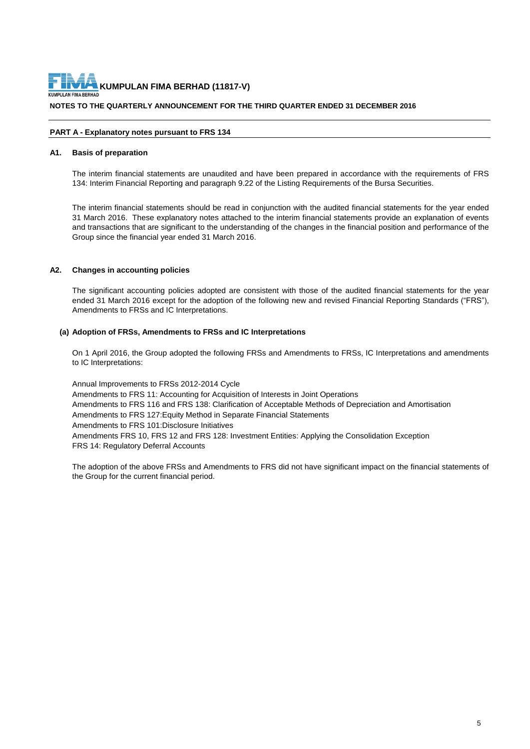**NOTES TO THE QUARTERLY ANNOUNCEMENT FOR THE THIRD QUARTER ENDED 31 DECEMBER 2016**

# **PART A - Explanatory notes pursuant to FRS 134**

# **A1. Basis of preparation**

The interim financial statements are unaudited and have been prepared in accordance with the requirements of FRS 134: Interim Financial Reporting and paragraph 9.22 of the Listing Requirements of the Bursa Securities.

The interim financial statements should be read in conjunction with the audited financial statements for the year ended 31 March 2016. These explanatory notes attached to the interim financial statements provide an explanation of events and transactions that are significant to the understanding of the changes in the financial position and performance of the Group since the financial year ended 31 March 2016.

# **A2. Changes in accounting policies**

The significant accounting policies adopted are consistent with those of the audited financial statements for the year ended 31 March 2016 except for the adoption of the following new and revised Financial Reporting Standards ("FRS"), Amendments to FRSs and IC Interpretations.

# **(a) Adoption of FRSs, Amendments to FRSs and IC Interpretations**

On 1 April 2016, the Group adopted the following FRSs and Amendments to FRSs, IC Interpretations and amendments to IC Interpretations:

Annual Improvements to FRSs 2012-2014 Cycle Amendments to FRS 11: Accounting for Acquisition of Interests in Joint Operations Amendments to FRS 116 and FRS 138: Clarification of Acceptable Methods of Depreciation and Amortisation Amendments to FRS 127: Equity Method in Separate Financial Statements Amendments to FRS 101:Disclosure Initiatives Amendments FRS 10, FRS 12 and FRS 128: Investment Entities: Applying the Consolidation Exception FRS 14: Regulatory Deferral Accounts

The adoption of the above FRSs and Amendments to FRS did not have significant impact on the financial statements of the Group for the current financial period.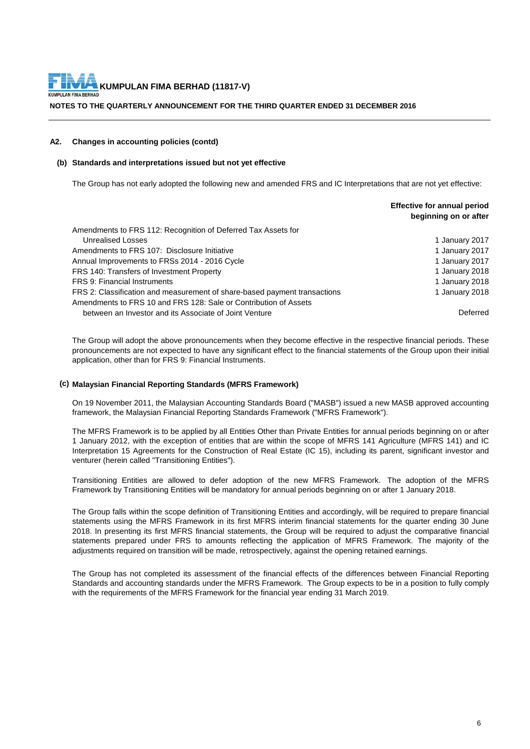**NOTES TO THE QUARTERLY ANNOUNCEMENT FOR THE THIRD QUARTER ENDED 31 DECEMBER 2016**

# **A2. Changes in accounting policies (contd)**

# **(b) Standards and interpretations issued but not yet effective**

The Group has not early adopted the following new and amended FRS and IC Interpretations that are not yet effective:

|                                                                           | <b>Effective for annual period</b><br>beginning on or after |
|---------------------------------------------------------------------------|-------------------------------------------------------------|
| Amendments to FRS 112: Recognition of Deferred Tax Assets for             |                                                             |
| Unrealised Losses                                                         | 1 January 2017                                              |
| Amendments to FRS 107: Disclosure Initiative                              | 1 January 2017                                              |
| Annual Improvements to FRSs 2014 - 2016 Cycle                             | 1 January 2017                                              |
| FRS 140: Transfers of Investment Property                                 | 1 January 2018                                              |
| FRS 9: Financial Instruments                                              | 1 January 2018                                              |
| FRS 2: Classification and measurement of share-based payment transactions | 1 January 2018                                              |
| Amendments to FRS 10 and FRS 128: Sale or Contribution of Assets          |                                                             |
| between an Investor and its Associate of Joint Venture                    | Deferred                                                    |

The Group will adopt the above pronouncements when they become effective in the respective financial periods. These pronouncements are not expected to have any significant effect to the financial statements of the Group upon their initial application, other than for FRS 9: Financial Instruments.

# **(c) Malaysian Financial Reporting Standards (MFRS Framework)**

On 19 November 2011, the Malaysian Accounting Standards Board ("MASB") issued a new MASB approved accounting framework, the Malaysian Financial Reporting Standards Framework ("MFRS Framework").

The MFRS Framework is to be applied by all Entities Other than Private Entities for annual periods beginning on or after 1 January 2012, with the exception of entities that are within the scope of MFRS 141 Agriculture (MFRS 141) and IC Interpretation 15 Agreements for the Construction of Real Estate (IC 15), including its parent, significant investor and venturer (herein called "Transitioning Entities").

Transitioning Entities are allowed to defer adoption of the new MFRS Framework. The adoption of the MFRS Framework by Transitioning Entities will be mandatory for annual periods beginning on or after 1 January 2018.

The Group falls within the scope definition of Transitioning Entities and accordingly, will be required to prepare financial statements using the MFRS Framework in its first MFRS interim financial statements for the quarter ending 30 June 2018. In presenting its first MFRS financial statements, the Group will be required to adjust the comparative financial statements prepared under FRS to amounts reflecting the application of MFRS Framework. The majority of the adjustments required on transition will be made, retrospectively, against the opening retained earnings.

The Group has not completed its assessment of the financial effects of the differences between Financial Reporting Standards and accounting standards under the MFRS Framework. The Group expects to be in a position to fully comply with the requirements of the MFRS Framework for the financial year ending 31 March 2019.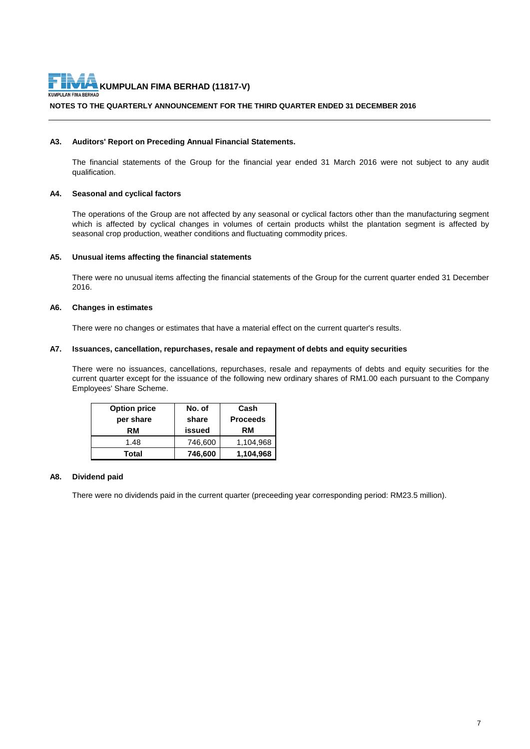

# **NOTES TO THE QUARTERLY ANNOUNCEMENT FOR THE THIRD QUARTER ENDED 31 DECEMBER 2016**

# **A3. Auditors' Report on Preceding Annual Financial Statements.**

The financial statements of the Group for the financial year ended 31 March 2016 were not subject to any audit qualification.

# **A4. Seasonal and cyclical factors**

The operations of the Group are not affected by any seasonal or cyclical factors other than the manufacturing segment which is affected by cyclical changes in volumes of certain products whilst the plantation segment is affected by seasonal crop production, weather conditions and fluctuating commodity prices.

# **A5. Unusual items affecting the financial statements**

There were no unusual items affecting the financial statements of the Group for the current quarter ended 31 December 2016.

# **A6. Changes in estimates**

There were no changes or estimates that have a material effect on the current quarter's results.

#### **A7. Issuances, cancellation, repurchases, resale and repayment of debts and equity securities**

There were no issuances, cancellations, repurchases, resale and repayments of debts and equity securities for the current quarter except for the issuance of the following new ordinary shares of RM1.00 each pursuant to the Company Employees' Share Scheme.

| <b>Option price</b> | No. of  | Cash            |
|---------------------|---------|-----------------|
| per share           | share   | <b>Proceeds</b> |
| RM                  | issued  | RM              |
| 1.48                | 746,600 | 1,104,968       |
| Total               | 746,600 | 1,104,968       |

# **A8. Dividend paid**

There were no dividends paid in the current quarter (preceeding year corresponding period: RM23.5 million).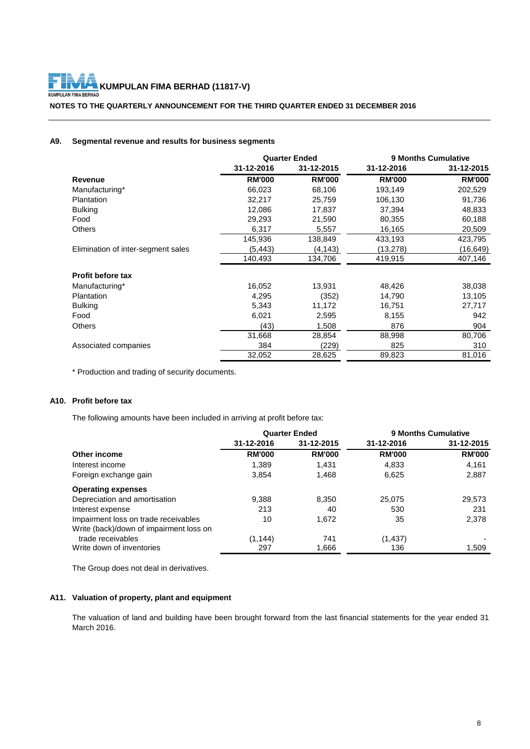**KUMPULAN FIMA BERHAD (11817-V)**<br>LAN FINA BERHAD KUMPI

**NOTES TO THE QUARTERLY ANNOUNCEMENT FOR THE THIRD QUARTER ENDED 31 DECEMBER 2016**

# **A9. Segmental revenue and results for business segments**

|                                    | <b>Quarter Ended</b> |               | <b>9 Months Cumulative</b> |               |
|------------------------------------|----------------------|---------------|----------------------------|---------------|
|                                    | 31-12-2016           | 31-12-2015    | 31-12-2016                 | 31-12-2015    |
| Revenue                            | <b>RM'000</b>        | <b>RM'000</b> | <b>RM'000</b>              | <b>RM'000</b> |
| Manufacturing*                     | 66,023               | 68,106        | 193,149                    | 202,529       |
| Plantation                         | 32,217               | 25,759        | 106,130                    | 91,736        |
| <b>Bulking</b>                     | 12.086               | 17.837        | 37.394                     | 48,833        |
| Food                               | 29,293               | 21,590        | 80,355                     | 60,188        |
| <b>Others</b>                      | 6,317                | 5,557         | 16,165                     | 20,509        |
|                                    | 145,936              | 138,849       | 433,193                    | 423,795       |
| Elimination of inter-segment sales | (5,443)              | (4,143)       | (13, 278)                  | (16,649)      |
|                                    | 140,493              | 134,706       | 419,915                    | 407,146       |
| <b>Profit before tax</b>           |                      |               |                            |               |
| Manufacturing*                     | 16,052               | 13,931        | 48,426                     | 38,038        |
| Plantation                         | 4,295                | (352)         | 14,790                     | 13,105        |
| <b>Bulking</b>                     | 5,343                | 11,172        | 16,751                     | 27,717        |
| Food                               | 6,021                | 2,595         | 8,155                      | 942           |
| <b>Others</b>                      | (43)                 | 1,508         | 876                        | 904           |
|                                    | 31,668               | 28,854        | 88,998                     | 80,706        |
| Associated companies               | 384                  | (229)         | 825                        | 310           |
|                                    | 32,052               | 28,625        | 89,823                     | 81,016        |

\* Production and trading of security documents.

# **A10. Profit before tax**

The following amounts have been included in arriving at profit before tax:

|                                         | <b>Quarter Ended</b> |               | <b>9 Months Cumulative</b> |               |
|-----------------------------------------|----------------------|---------------|----------------------------|---------------|
|                                         | 31-12-2016           | 31-12-2015    | 31-12-2016                 | 31-12-2015    |
| Other income                            | <b>RM'000</b>        | <b>RM'000</b> | <b>RM'000</b>              | <b>RM'000</b> |
| Interest income                         | 1,389                | 1,431         | 4,833                      | 4,161         |
| Foreign exchange gain                   | 3,854                | 1,468         | 6,625                      | 2,887         |
| <b>Operating expenses</b>               |                      |               |                            |               |
| Depreciation and amortisation           | 9,388                | 8,350         | 25,075                     | 29,573        |
| Interest expense                        | 213                  | 40            | 530                        | 231           |
| Impairment loss on trade receivables    | 10                   | 1,672         | 35                         | 2,378         |
| Write (back)/down of impairment loss on |                      |               |                            |               |
| trade receivables                       | (1, 144)             | 741           | (1, 437)                   |               |
| Write down of inventories               | 297                  | 1,666         | 136                        | 1,509         |

The Group does not deal in derivatives.

# **A11. Valuation of property, plant and equipment**

The valuation of land and building have been brought forward from the last financial statements for the year ended 31 March 2016.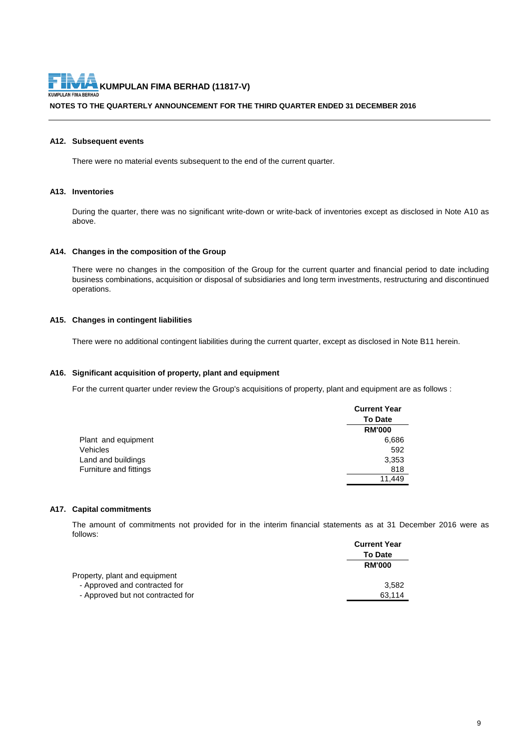**NOTES TO THE QUARTERLY ANNOUNCEMENT FOR THE THIRD QUARTER ENDED 31 DECEMBER 2016**

# **A12. Subsequent events**

There were no material events subsequent to the end of the current quarter.

# **A13. Inventories**

During the quarter, there was no significant write-down or write-back of inventories except as disclosed in Note A10 as above.

#### **A14. Changes in the composition of the Group**

There were no changes in the composition of the Group for the current quarter and financial period to date including business combinations, acquisition or disposal of subsidiaries and long term investments, restructuring and discontinued operations.

# **A15. Changes in contingent liabilities**

There were no additional contingent liabilities during the current quarter, except as disclosed in Note B11 herein.

# **A16. Significant acquisition of property, plant and equipment**

For the current quarter under review the Group's acquisitions of property, plant and equipment are as follows :

|                        | <b>Current Year</b> |
|------------------------|---------------------|
|                        | <b>To Date</b>      |
|                        | <b>RM'000</b>       |
| Plant and equipment    | 6,686               |
| Vehicles               | 592                 |
| Land and buildings     | 3,353               |
| Furniture and fittings | 818                 |
|                        | 11.449              |

#### **A17. Capital commitments**

The amount of commitments not provided for in the interim financial statements as at 31 December 2016 were as follows:

|                                   | <b>Current Year</b> |
|-----------------------------------|---------------------|
|                                   | <b>To Date</b>      |
|                                   | <b>RM'000</b>       |
| Property, plant and equipment     |                     |
| - Approved and contracted for     | 3.582               |
| - Approved but not contracted for | 63.114              |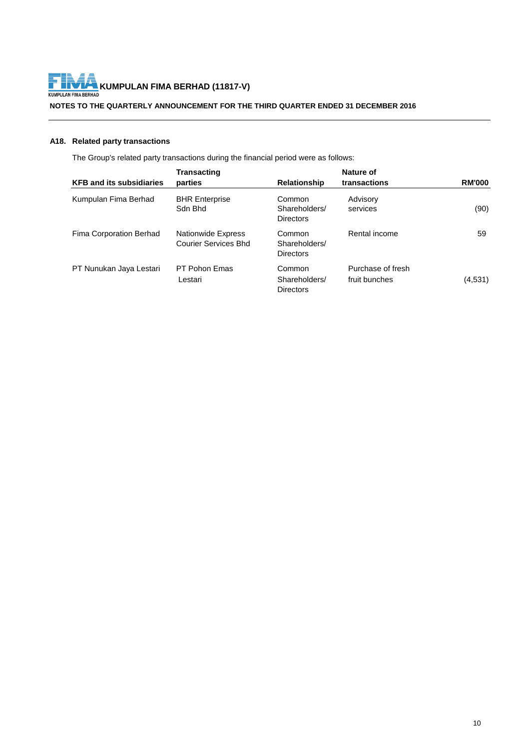

# **NOTES TO THE QUARTERLY ANNOUNCEMENT FOR THE THIRD QUARTER ENDED 31 DECEMBER 2016**

# **A18. Related party transactions**

The Group's related party transactions during the financial period were as follows:

|                                 | <b>Transacting</b>                                |                                             | Nature of                          |               |
|---------------------------------|---------------------------------------------------|---------------------------------------------|------------------------------------|---------------|
| <b>KFB and its subsidiaries</b> | parties                                           | <b>Relationship</b>                         | transactions                       | <b>RM'000</b> |
| Kumpulan Fima Berhad            | <b>BHR Enterprise</b><br>Sdn Bhd                  | Common<br>Shareholders/<br><b>Directors</b> | Advisory<br>services               | (90)          |
| Fima Corporation Berhad         | <b>Nationwide Express</b><br>Courier Services Bhd | Common<br>Shareholders/<br><b>Directors</b> | Rental income                      | 59            |
| PT Nunukan Jaya Lestari         | PT Pohon Emas<br>Lestari                          | Common<br>Shareholders/<br><b>Directors</b> | Purchase of fresh<br>fruit bunches | (4,531)       |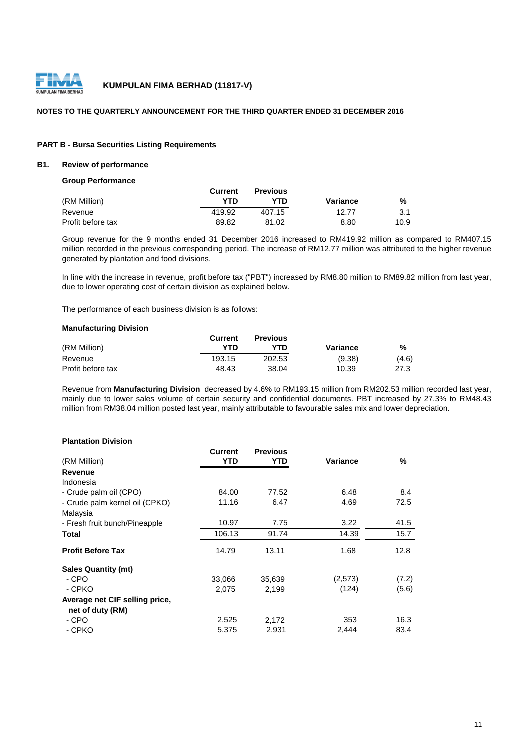

# **NOTES TO THE QUARTERLY ANNOUNCEMENT FOR THE THIRD QUARTER ENDED 31 DECEMBER 2016**

#### **PART B - Bursa Securities Listing Requirements**

#### **B1. Review of performance**

**Group Performance**

|                   | Current | <b>Previous</b> |          |      |
|-------------------|---------|-----------------|----------|------|
| (RM Million)      | YTD     | YTD             | Variance | %    |
| Revenue           | 419.92  | 407.15          | 12.77    | 3.1  |
| Profit before tax | 89.82   | 81.02           | 8.80     | 10.9 |

Group revenue for the 9 months ended 31 December 2016 increased to RM419.92 million as compared to RM407.15 million recorded in the previous corresponding period. The increase of RM12.77 million was attributed to the higher revenue generated by plantation and food divisions.

In line with the increase in revenue, profit before tax ("PBT") increased by RM8.80 million to RM89.82 million from last year, due to lower operating cost of certain division as explained below.

The performance of each business division is as follows:

# **Manufacturing Division**

|                   | Current | <b>Previous</b> |          |       |
|-------------------|---------|-----------------|----------|-------|
| (RM Million)      | YTN     | YTN             | Variance | %     |
| Revenue           | 193.15  | 202.53          | (9.38)   | (4.6) |
| Profit before tax | 48.43   | 38.04           | 10.39    | 27.3  |

Revenue from **Manufacturing Division** decreased by 4.6% to RM193.15 million from RM202.53 million recorded last year, mainly due to lower sales volume of certain security and confidential documents. PBT increased by 27.3% to RM48.43 million from RM38.04 million posted last year, mainly attributable to favourable sales mix and lower depreciation.

# **Plantation Division**

|                                | <b>Current</b> | <b>Previous</b> |          |       |
|--------------------------------|----------------|-----------------|----------|-------|
| (RM Million)                   | YTD            | YTD             | Variance | %     |
| Revenue                        |                |                 |          |       |
| Indonesia                      |                |                 |          |       |
| - Crude palm oil (CPO)         | 84.00          | 77.52           | 6.48     | 8.4   |
| - Crude palm kernel oil (CPKO) | 11.16          | 6.47            | 4.69     | 72.5  |
| Malaysia                       |                |                 |          |       |
| - Fresh fruit bunch/Pineapple  | 10.97          | 7.75            | 3.22     | 41.5  |
| Total                          | 106.13         | 91.74           | 14.39    | 15.7  |
| <b>Profit Before Tax</b>       | 14.79          | 13.11           | 1.68     | 12.8  |
| <b>Sales Quantity (mt)</b>     |                |                 |          |       |
| - CPO                          | 33,066         | 35,639          | (2,573)  | (7.2) |
| - CPKO                         | 2,075          | 2,199           | (124)    | (5.6) |
| Average net CIF selling price, |                |                 |          |       |
| net of duty (RM)               |                |                 |          |       |
| - CPO                          | 2,525          | 2.172           | 353      | 16.3  |
| - CPKO                         | 5,375          | 2,931           | 2,444    | 83.4  |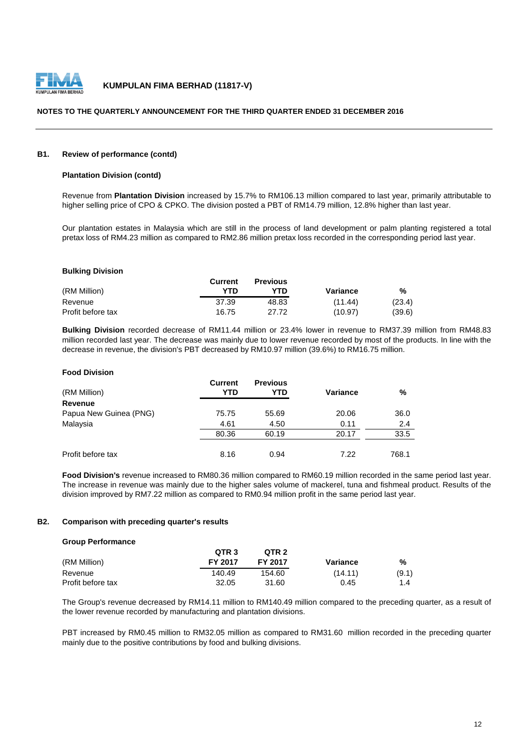

# **NOTES TO THE QUARTERLY ANNOUNCEMENT FOR THE THIRD QUARTER ENDED 31 DECEMBER 2016**

# **B1. Review of performance (contd)**

# **Plantation Division (contd)**

Revenue from **Plantation Division** increased by 15.7% to RM106.13 million compared to last year, primarily attributable to higher selling price of CPO & CPKO. The division posted a PBT of RM14.79 million, 12.8% higher than last year.

Our plantation estates in Malaysia which are still in the process of land development or palm planting registered a total pretax loss of RM4.23 million as compared to RM2.86 million pretax loss recorded in the corresponding period last year.

#### **Bulking Division**

|                   | Current | <b>Previous</b> |          |        |
|-------------------|---------|-----------------|----------|--------|
| (RM Million)      | YTD     | YTD             | Variance | %      |
| Revenue           | 37.39   | 48.83           | (11.44)  | (23.4) |
| Profit before tax | 16.75   | 27.72           | (10.97)  | (39.6) |

**Bulking Division** recorded decrease of RM11.44 million or 23.4% lower in revenue to RM37.39 million from RM48.83 million recorded last year. The decrease was mainly due to lower revenue recorded by most of the products. In line with the decrease in revenue, the division's PBT decreased by RM10.97 million (39.6%) to RM16.75 million.

#### **Food Division**

| (RM Million)           | Current<br>YTD | <b>Previous</b><br>YTD | <b>Variance</b> | %     |
|------------------------|----------------|------------------------|-----------------|-------|
| <b>Revenue</b>         |                |                        |                 |       |
| Papua New Guinea (PNG) | 75.75          | 55.69                  | 20.06           | 36.0  |
| Malaysia               | 4.61           | 4.50                   | 0.11            | 2.4   |
|                        | 80.36          | 60.19                  | 20.17           | 33.5  |
| Profit before tax      | 8.16           | 0.94                   | 7.22            | 768.1 |

**Food Division's** revenue increased to RM80.36 million compared to RM60.19 million recorded in the same period last year. The increase in revenue was mainly due to the higher sales volume of mackerel, tuna and fishmeal product. Results of the division improved by RM7.22 million as compared to RM0.94 million profit in the same period last year.

# **B2. Comparison with preceding quarter's results**

#### **Group Performance**

|                   | QTR <sub>3</sub> | QTR <sub>2</sub> |          |       |
|-------------------|------------------|------------------|----------|-------|
| (RM Million)      | FY 2017          | <b>FY 2017</b>   | Variance | %     |
| Revenue           | 140.49           | 154.60           | (14.11)  | (9.1) |
| Profit before tax | 32.05            | 31.60            | 0.45     | 1.4   |

The Group's revenue decreased by RM14.11 million to RM140.49 million compared to the preceding quarter, as a result of the lower revenue recorded by manufacturing and plantation divisions.

PBT increased by RM0.45 million to RM32.05 million as compared to RM31.60 million recorded in the preceding quarter mainly due to the positive contributions by food and bulking divisions.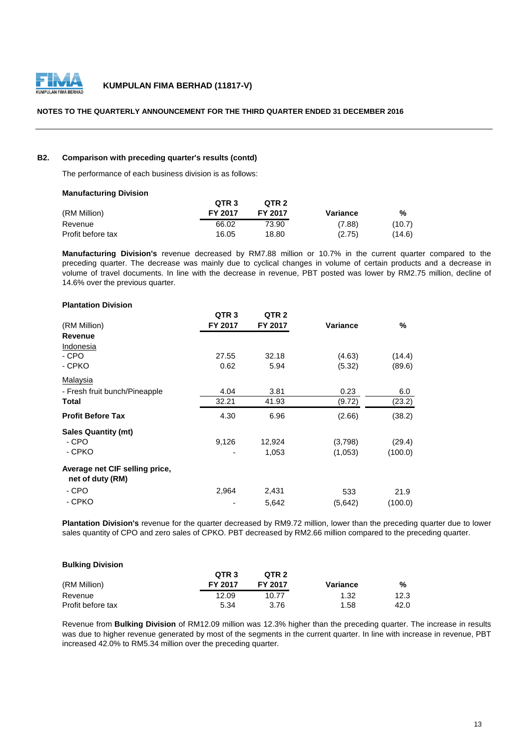

# **NOTES TO THE QUARTERLY ANNOUNCEMENT FOR THE THIRD QUARTER ENDED 31 DECEMBER 2016**

# **B2. Comparison with preceding quarter's results (contd)**

The performance of each business division is as follows:

# **Manufacturing Division**

|                   | QTR <sub>3</sub> | QTR <sub>2</sub> |          |        |
|-------------------|------------------|------------------|----------|--------|
| (RM Million)      | <b>FY 2017</b>   | FY 2017          | Variance | %      |
| Revenue           | 66.02            | 73.90            | (7.88)   | (10.7) |
| Profit before tax | 16.05            | 18.80            | (2.75)   | (14.6) |

**Manufacturing Division's** revenue decreased by RM7.88 million or 10.7% in the current quarter compared to the preceding quarter. The decrease was mainly due to cyclical changes in volume of certain products and a decrease in volume of travel documents. In line with the decrease in revenue, PBT posted was lower by RM2.75 million, decline of 14.6% over the previous quarter.

#### **Plantation Division**

|                                | QTR <sub>3</sub> | QTR <sub>2</sub> |          |         |
|--------------------------------|------------------|------------------|----------|---------|
| (RM Million)                   | FY 2017          | FY 2017          | Variance | %       |
| Revenue                        |                  |                  |          |         |
| Indonesia                      |                  |                  |          |         |
| - CPO                          | 27.55            | 32.18            | (4.63)   | (14.4)  |
| - CPKO                         | 0.62             | 5.94             | (5.32)   | (89.6)  |
| Malaysia                       |                  |                  |          |         |
| - Fresh fruit bunch/Pineapple  | 4.04             | 3.81             | 0.23     | 6.0     |
| Total                          | 32.21            | 41.93            | (9.72)   | (23.2)  |
| <b>Profit Before Tax</b>       | 4.30             | 6.96             | (2.66)   | (38.2)  |
| <b>Sales Quantity (mt)</b>     |                  |                  |          |         |
| - CPO                          | 9,126            | 12,924           | (3,798)  | (29.4)  |
| - CPKO                         |                  | 1,053            | (1,053)  | (100.0) |
| Average net CIF selling price, |                  |                  |          |         |
| net of duty (RM)               |                  |                  |          |         |
| - CPO                          | 2,964            | 2,431            | 533      | 21.9    |
| - CPKO                         |                  | 5,642            | (5,642)  | (100.0) |

**Plantation Division's** revenue for the quarter decreased by RM9.72 million, lower than the preceding quarter due to lower sales quantity of CPO and zero sales of CPKO. PBT decreased by RM2.66 million compared to the preceding quarter.

# **Bulking Division**

|                   | QTR <sub>3</sub> | OTR 2   |          |      |
|-------------------|------------------|---------|----------|------|
| (RM Million)      | FY 2017          | FY 2017 | Variance | %    |
| Revenue           | 12.09            | 10.77   | 1.32     | 12.3 |
| Profit before tax | 5.34             | 3.76    | 1.58     | 42.0 |

Revenue from **Bulking Division** of RM12.09 million was 12.3% higher than the preceding quarter. The increase in results was due to higher revenue generated by most of the segments in the current quarter. In line with increase in revenue, PBT increased 42.0% to RM5.34 million over the preceding quarter.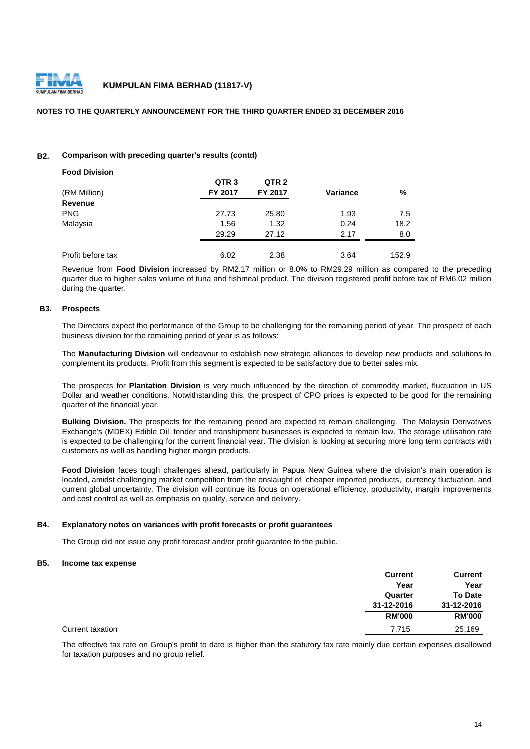

# **NOTES TO THE QUARTERLY ANNOUNCEMENT FOR THE THIRD QUARTER ENDED 31 DECEMBER 2016**

# **B2. Comparison with preceding quarter's results (contd)**

| QTR <sub>3</sub> | QTR <sub>2</sub> |          |                      |
|------------------|------------------|----------|----------------------|
| FY 2017          | FY 2017          | Variance | %                    |
|                  |                  |          |                      |
| 27.73            | 25.80            | 1.93     | 7.5                  |
| 1.56             | 1.32             | 0.24     | 18.2                 |
| 29.29            | 27.12            | 2.17     | 8.0                  |
|                  |                  |          | 152.9                |
|                  |                  |          | 6.02<br>2.38<br>3.64 |

Revenue from **Food Division** increased by RM2.17 million or 8.0% to RM29.29 million as compared to the preceding quarter due to higher sales volume of tuna and fishmeal product. The division registered profit before tax of RM6.02 million during the quarter.

# **B3. Prospects**

The Directors expect the performance of the Group to be challenging for the remaining period of year. The prospect of each business division for the remaining period of year is as follows:

The **Manufacturing Division** will endeavour to establish new strategic alliances to develop new products and solutions to complement its products. Profit from this segment is expected to be satisfactory due to better sales mix.

The prospects for **Plantation Division** is very much influenced by the direction of commodity market, fluctuation in US Dollar and weather conditions. Notwithstanding this, the prospect of CPO prices is expected to be good for the remaining quarter of the financial year.

**Bulking Division.** The prospects for the remaining period are expected to remain challenging. The Malaysia Derivatives Exchange's (MDEX) Edible Oil tender and transhipment businesses is expected to remain low. The storage utilisation rate is expected to be challenging for the current financial year. The division is looking at securing more long term contracts with customers as well as handling higher margin products.

**Food Division** faces tough challenges ahead, particularly in Papua New Guinea where the division's main operation is located, amidst challenging market competition from the onslaught of cheaper imported products, currency fluctuation, and current global uncertainty. The division will continue its focus on operational efficiency, productivity, margin improvements and cost control as well as emphasis on quality, service and delivery.

### **B4. Explanatory notes on variances with profit forecasts or profit guarantees**

The Group did not issue any profit forecast and/or profit guarantee to the public.

# **B5. Income tax expense**

|                  | <b>Current</b> | <b>Current</b> |
|------------------|----------------|----------------|
|                  | Year           | Year           |
|                  | Quarter        | <b>To Date</b> |
|                  | 31-12-2016     | 31-12-2016     |
|                  | <b>RM'000</b>  | <b>RM'000</b>  |
| Current taxation | 7,715          | 25,169         |

The effective tax rate on Group's profit to date is higher than the statutory tax rate mainly due certain expenses disallowed for taxation purposes and no group relief.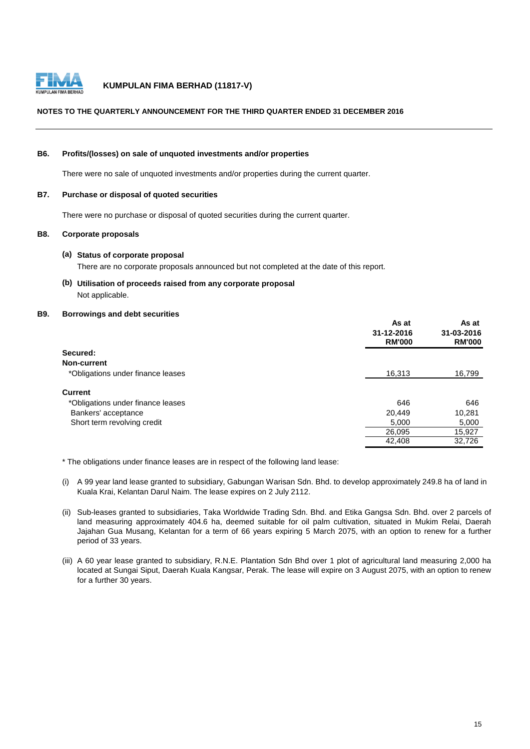

# **NOTES TO THE QUARTERLY ANNOUNCEMENT FOR THE THIRD QUARTER ENDED 31 DECEMBER 2016**

### **B6. Profits/(losses) on sale of unquoted investments and/or properties**

There were no sale of unquoted investments and/or properties during the current quarter.

# **B7. Purchase or disposal of quoted securities**

There were no purchase or disposal of quoted securities during the current quarter.

# **B8. Corporate proposals**

#### **(a) Status of corporate proposal**

There are no corporate proposals announced but not completed at the date of this report.

**(b) Utilisation of proceeds raised from any corporate proposal** Not applicable.

# **B9. Borrowings and debt securities**

|                                   | As at<br>31-12-2016<br><b>RM'000</b> | As at<br>31-03-2016<br><b>RM'000</b> |
|-----------------------------------|--------------------------------------|--------------------------------------|
| Secured:                          |                                      |                                      |
| Non-current                       |                                      |                                      |
| *Obligations under finance leases | 16,313                               | 16,799                               |
| <b>Current</b>                    |                                      |                                      |
| *Obligations under finance leases | 646                                  | 646                                  |
| Bankers' acceptance               | 20,449                               | 10,281                               |
| Short term revolving credit       | 5,000                                | 5,000                                |
|                                   | 26,095                               | 15,927                               |
|                                   | 42,408                               | 32,726                               |

\* The obligations under finance leases are in respect of the following land lease:

- (i) A 99 year land lease granted to subsidiary, Gabungan Warisan Sdn. Bhd. to develop approximately 249.8 ha of land in Kuala Krai, Kelantan Darul Naim. The lease expires on 2 July 2112.
- (ii) Sub-leases granted to subsidiaries, Taka Worldwide Trading Sdn. Bhd. and Etika Gangsa Sdn. Bhd. over 2 parcels of land measuring approximately 404.6 ha, deemed suitable for oil palm cultivation, situated in Mukim Relai, Daerah Jajahan Gua Musang, Kelantan for a term of 66 years expiring 5 March 2075, with an option to renew for a further period of 33 years.
- (iii) A 60 year lease granted to subsidiary, R.N.E. Plantation Sdn Bhd over 1 plot of agricultural land measuring 2,000 ha located at Sungai Siput, Daerah Kuala Kangsar, Perak. The lease will expire on 3 August 2075, with an option to renew for a further 30 years.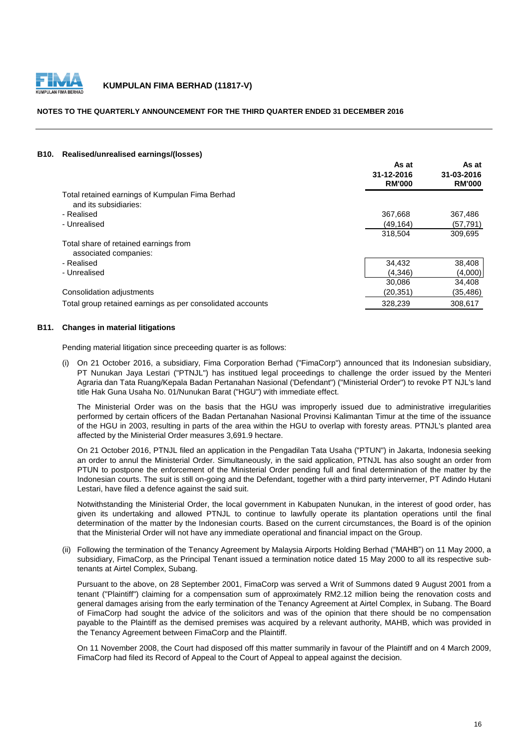

# **NOTES TO THE QUARTERLY ANNOUNCEMENT FOR THE THIRD QUARTER ENDED 31 DECEMBER 2016**

#### **B10. Realised/unrealised earnings/(losses)**

|                                                                          | As at<br>31-12-2016<br><b>RM'000</b> | As at<br>31-03-2016<br><b>RM'000</b> |
|--------------------------------------------------------------------------|--------------------------------------|--------------------------------------|
| Total retained earnings of Kumpulan Fima Berhad<br>and its subsidiaries: |                                      |                                      |
| - Realised                                                               | 367,668                              | 367,486                              |
| - Unrealised                                                             | (49, 164)                            | (57, 791)                            |
|                                                                          | 318.504                              | 309.695                              |
| Total share of retained earnings from<br>associated companies:           |                                      |                                      |
| - Realised                                                               | 34,432                               | 38,408                               |
| - Unrealised                                                             | (4.346)                              | (4,000)                              |
|                                                                          | 30.086                               | 34,408                               |
| Consolidation adjustments                                                | (20,351)                             | (35, 486)                            |
| Total group retained earnings as per consolidated accounts               | 328,239                              | 308,617                              |
|                                                                          |                                      |                                      |

# **B11. Changes in material litigations**

Pending material litigation since preceeding quarter is as follows:

(i) On 21 October 2016, a subsidiary, Fima Corporation Berhad ("FimaCorp") announced that its Indonesian subsidiary, PT Nunukan Jaya Lestari ("PTNJL") has institued legal proceedings to challenge the order issued by the Menteri Agraria dan Tata Ruang/Kepala Badan Pertanahan Nasional ('Defendant") ("Ministerial Order") to revoke PT NJL's land title Hak Guna Usaha No. 01/Nunukan Barat ("HGU") with immediate effect.

The Ministerial Order was on the basis that the HGU was improperly issued due to administrative irregularities performed by certain officers of the Badan Pertanahan Nasional Provinsi Kalimantan Timur at the time of the issuance of the HGU in 2003, resulting in parts of the area within the HGU to overlap with foresty areas. PTNJL's planted area affected by the Ministerial Order measures 3,691.9 hectare.

On 21 October 2016, PTNJL filed an application in the Pengadilan Tata Usaha ("PTUN") in Jakarta, Indonesia seeking an order to annul the Ministerial Order. Simultaneously, in the said application, PTNJL has also sought an order from PTUN to postpone the enforcement of the Ministerial Order pending full and final determination of the matter by the Indonesian courts. The suit is still on-going and the Defendant, together with a third party interverner, PT Adindo Hutani Lestari, have filed a defence against the said suit.

Notwithstanding the Ministerial Order, the local government in Kabupaten Nunukan, in the interest of good order, has given its undertaking and allowed PTNJL to continue to lawfully operate its plantation operations until the final determination of the matter by the Indonesian courts. Based on the current circumstances, the Board is of the opinion that the Ministerial Order will not have any immediate operational and financial impact on the Group.

(ii) Following the termination of the Tenancy Agreement by Malaysia Airports Holding Berhad ("MAHB") on 11 May 2000, a subsidiary, FimaCorp, as the Principal Tenant issued a termination notice dated 15 May 2000 to all its respective subtenants at Airtel Complex, Subang.

Pursuant to the above, on 28 September 2001, FimaCorp was served a Writ of Summons dated 9 August 2001 from a tenant ("Plaintiff") claiming for a compensation sum of approximately RM2.12 million being the renovation costs and general damages arising from the early termination of the Tenancy Agreement at Airtel Complex, in Subang. The Board of FimaCorp had sought the advice of the solicitors and was of the opinion that there should be no compensation payable to the Plaintiff as the demised premises was acquired by a relevant authority, MAHB, which was provided in the Tenancy Agreement between FimaCorp and the Plaintiff.

On 11 November 2008, the Court had disposed off this matter summarily in favour of the Plaintiff and on 4 March 2009, FimaCorp had filed its Record of Appeal to the Court of Appeal to appeal against the decision.